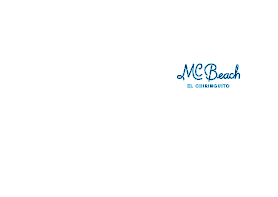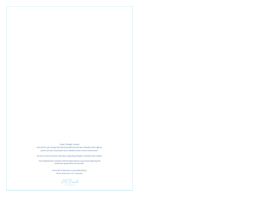#### *Cover Charge: 5 euros*

Part of the cover charge will directly benefit Aula del Mar, Marbella Club's official *partner for the conservation of our Mediterranean marine environment.*

> *All our fish comes from sustainable fishing. All our prices are V.A.T. inclusive.*

MC Beach **EL CHIPINGUIT** 

*We have all the necessary infrmtaion regarding allergens available upon request*

*This establishment complies with the Royal Decree 1420/2006 regarding the prevention of parasitism by Anisakis.*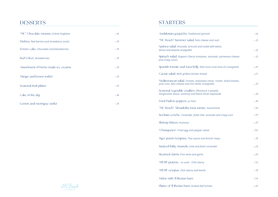## **DESSERTS**

| "MC" Chocolate mousse. Crème Anglaise      | $\sim$ .16 |
|--------------------------------------------|------------|
| Pavlova. Red berries and strawberry coulis | $-.15$     |
| Ferrero cake. Chocolate and blackberries   | $-.15$     |
| Red Velvet. Strawberries                   | $-.15$     |
| Assortment of home-made ice creams         | $-.15$     |
| Mango and lemon sorbet                     | $-.15$     |
| Seasonal fruit platter                     | $-.15$     |
| Cake of the day                            | $\sim$ .16 |
| Lemon and meringue tartlet                 | $-.15$     |



## **STARTERS**

| Andalusian gazpacho. Traditional garnish                                                                                | $-.14$    |
|-------------------------------------------------------------------------------------------------------------------------|-----------|
| "MC Beach" Summer salad. Feta cheese and nuts                                                                           | $-.21$    |
| Quinoa salad. Avocado, broccoli and rocket with tahini,<br>lemon and sesame vinaigrette                                 | $-.21$    |
| Spinach salad. Organic Cherry tomatoes, avocado, parmesan cheese<br>and crispy onion                                    | $-.21$    |
| Spanish tomato and tuna belly. Red onion and olive oil vinaigrette                                                      | $-.29$    |
| Caesar salad. With grilled chicken breast                                                                               | $-.27$    |
| Mediterranean salad. Tomato, Kalamata olives, rocket, dried tomato,<br>pine nuts, feta cheese and mix herbs vinaigrette | $-.25$    |
| Seasonal vegetable crudités. (Minimum 2 people)<br>Gorgonzola sauce, anchovy and black olives tapenade                  | $-.28$    |
| Fried Padron peppers. 5J ham                                                                                            | $-.19$    |
| "MC Beach" Almadraba tuna tartare. Guacamole                                                                            | $-0.38$   |
| Sea bass ceviche. Coriander, fresh chili, avocado and crispy corn                                                       | $\sim 33$ |
| Shrimp fritters. Hummus                                                                                                 | $-.23$    |
| "Chanquetes". Fried egg and pepper salad                                                                                | $-0.50$   |
| Tiger pravn tempura. Thai sauce and kimchi mayo                                                                         | $-.31$    |
| Sautéed baby mussels. Lime and fresh coriander                                                                          | $-.24$    |
| Steamed clams. Fino wine and garlic                                                                                     | $-.29$    |
| "Pil Pil" prawns. · 10 units · Chili sherry                                                                             | $-0.32$   |
| "Pil Pil" octopus. Chili sherry and kimchi                                                                              | $-.31$    |
| Melon with 5J Iberian ham                                                                                               | $-0.34$   |
| Platter of 5J Iberian ham. Grated Raf tomato                                                                            | $-.45$    |